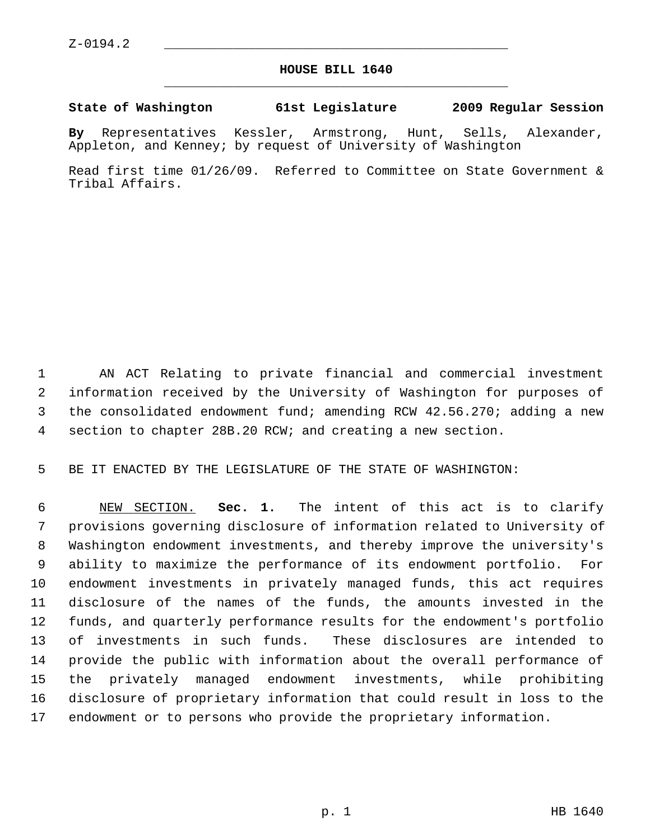## **HOUSE BILL 1640** \_\_\_\_\_\_\_\_\_\_\_\_\_\_\_\_\_\_\_\_\_\_\_\_\_\_\_\_\_\_\_\_\_\_\_\_\_\_\_\_\_\_\_\_\_

## **State of Washington 61st Legislature 2009 Regular Session**

**By** Representatives Kessler, Armstrong, Hunt, Sells, Alexander, Appleton, and Kenney; by request of University of Washington

Read first time 01/26/09. Referred to Committee on State Government & Tribal Affairs.

 1 AN ACT Relating to private financial and commercial investment 2 information received by the University of Washington for purposes of 3 the consolidated endowment fund; amending RCW 42.56.270; adding a new 4 section to chapter 28B.20 RCW; and creating a new section.

5 BE IT ENACTED BY THE LEGISLATURE OF THE STATE OF WASHINGTON:

 6 NEW SECTION. **Sec. 1.** The intent of this act is to clarify 7 provisions governing disclosure of information related to University of 8 Washington endowment investments, and thereby improve the university's 9 ability to maximize the performance of its endowment portfolio. For 10 endowment investments in privately managed funds, this act requires 11 disclosure of the names of the funds, the amounts invested in the 12 funds, and quarterly performance results for the endowment's portfolio 13 of investments in such funds. These disclosures are intended to 14 provide the public with information about the overall performance of 15 the privately managed endowment investments, while prohibiting 16 disclosure of proprietary information that could result in loss to the 17 endowment or to persons who provide the proprietary information.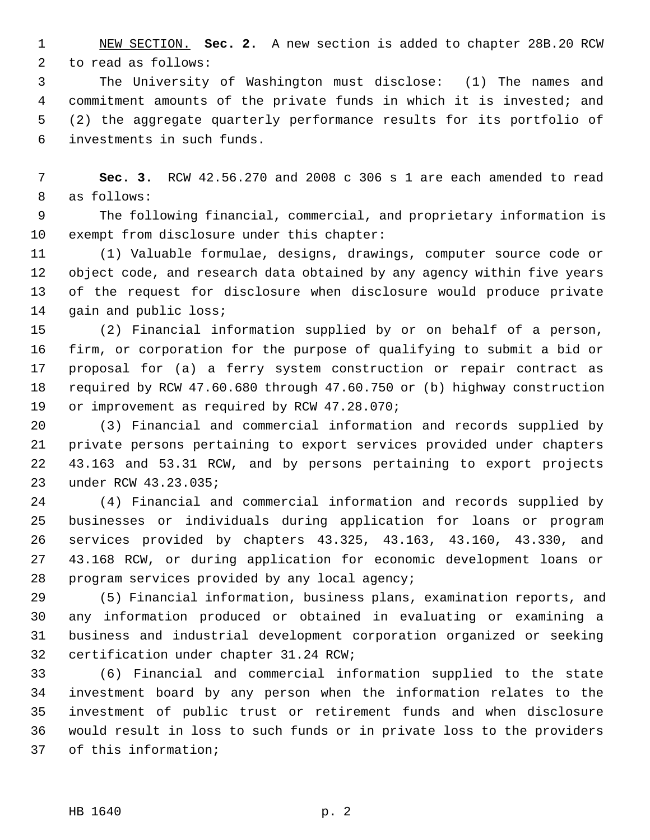1 NEW SECTION. **Sec. 2.** A new section is added to chapter 28B.20 RCW 2 to read as follows:

 3 The University of Washington must disclose: (1) The names and 4 commitment amounts of the private funds in which it is invested; and 5 (2) the aggregate quarterly performance results for its portfolio of 6 investments in such funds.

 7 **Sec. 3.** RCW 42.56.270 and 2008 c 306 s 1 are each amended to read 8 as follows:

 9 The following financial, commercial, and proprietary information is 10 exempt from disclosure under this chapter:

11 (1) Valuable formulae, designs, drawings, computer source code or 12 object code, and research data obtained by any agency within five years 13 of the request for disclosure when disclosure would produce private 14 gain and public loss;

15 (2) Financial information supplied by or on behalf of a person, 16 firm, or corporation for the purpose of qualifying to submit a bid or 17 proposal for (a) a ferry system construction or repair contract as 18 required by RCW 47.60.680 through 47.60.750 or (b) highway construction 19 or improvement as required by RCW 47.28.070;

20 (3) Financial and commercial information and records supplied by 21 private persons pertaining to export services provided under chapters 22 43.163 and 53.31 RCW, and by persons pertaining to export projects 23 under RCW 43.23.035;

24 (4) Financial and commercial information and records supplied by 25 businesses or individuals during application for loans or program 26 services provided by chapters 43.325, 43.163, 43.160, 43.330, and 27 43.168 RCW, or during application for economic development loans or 28 program services provided by any local agency;

29 (5) Financial information, business plans, examination reports, and 30 any information produced or obtained in evaluating or examining a 31 business and industrial development corporation organized or seeking 32 certification under chapter 31.24 RCW;

33 (6) Financial and commercial information supplied to the state 34 investment board by any person when the information relates to the 35 investment of public trust or retirement funds and when disclosure 36 would result in loss to such funds or in private loss to the providers 37 of this information;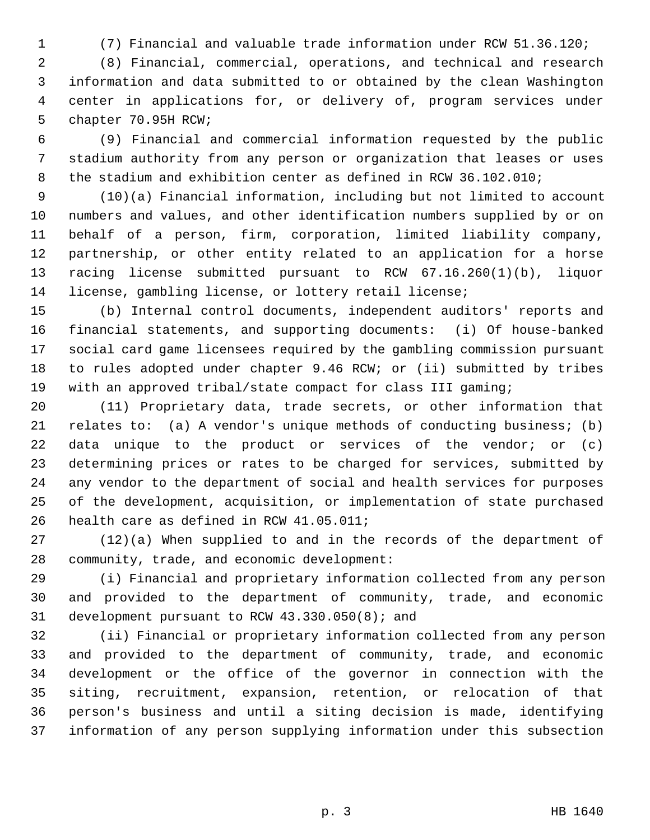1 (7) Financial and valuable trade information under RCW 51.36.120;

 2 (8) Financial, commercial, operations, and technical and research 3 information and data submitted to or obtained by the clean Washington 4 center in applications for, or delivery of, program services under 5 chapter 70.95H RCW;

 6 (9) Financial and commercial information requested by the public 7 stadium authority from any person or organization that leases or uses 8 the stadium and exhibition center as defined in RCW 36.102.010;

 9 (10)(a) Financial information, including but not limited to account 10 numbers and values, and other identification numbers supplied by or on 11 behalf of a person, firm, corporation, limited liability company, 12 partnership, or other entity related to an application for a horse 13 racing license submitted pursuant to RCW 67.16.260(1)(b), liquor 14 license, gambling license, or lottery retail license;

15 (b) Internal control documents, independent auditors' reports and 16 financial statements, and supporting documents: (i) Of house-banked 17 social card game licensees required by the gambling commission pursuant 18 to rules adopted under chapter 9.46 RCW; or (ii) submitted by tribes 19 with an approved tribal/state compact for class III gaming;

20 (11) Proprietary data, trade secrets, or other information that 21 relates to: (a) A vendor's unique methods of conducting business; (b) 22 data unique to the product or services of the vendor; or (c) 23 determining prices or rates to be charged for services, submitted by 24 any vendor to the department of social and health services for purposes 25 of the development, acquisition, or implementation of state purchased 26 health care as defined in RCW 41.05.011;

27 (12)(a) When supplied to and in the records of the department of 28 community, trade, and economic development:

29 (i) Financial and proprietary information collected from any person 30 and provided to the department of community, trade, and economic 31 development pursuant to RCW 43.330.050(8); and

32 (ii) Financial or proprietary information collected from any person 33 and provided to the department of community, trade, and economic 34 development or the office of the governor in connection with the 35 siting, recruitment, expansion, retention, or relocation of that 36 person's business and until a siting decision is made, identifying 37 information of any person supplying information under this subsection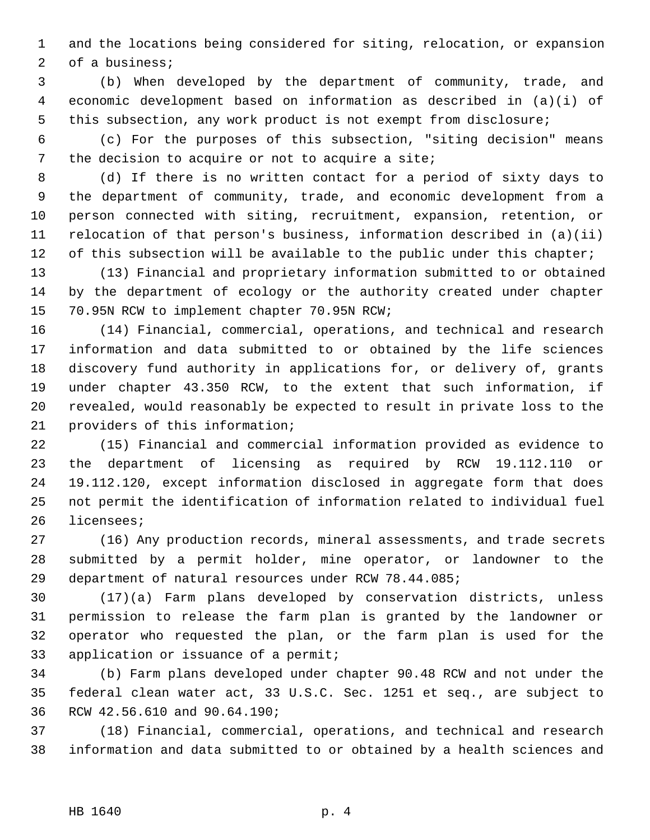1 and the locations being considered for siting, relocation, or expansion 2 of a business;

 3 (b) When developed by the department of community, trade, and 4 economic development based on information as described in (a)(i) of 5 this subsection, any work product is not exempt from disclosure;

 6 (c) For the purposes of this subsection, "siting decision" means 7 the decision to acquire or not to acquire a site;

 8 (d) If there is no written contact for a period of sixty days to 9 the department of community, trade, and economic development from a 10 person connected with siting, recruitment, expansion, retention, or 11 relocation of that person's business, information described in (a)(ii) 12 of this subsection will be available to the public under this chapter;

13 (13) Financial and proprietary information submitted to or obtained 14 by the department of ecology or the authority created under chapter 15 70.95N RCW to implement chapter 70.95N RCW;

16 (14) Financial, commercial, operations, and technical and research 17 information and data submitted to or obtained by the life sciences 18 discovery fund authority in applications for, or delivery of, grants 19 under chapter 43.350 RCW, to the extent that such information, if 20 revealed, would reasonably be expected to result in private loss to the 21 providers of this information;

22 (15) Financial and commercial information provided as evidence to 23 the department of licensing as required by RCW 19.112.110 or 24 19.112.120, except information disclosed in aggregate form that does 25 not permit the identification of information related to individual fuel 26 licensees;

27 (16) Any production records, mineral assessments, and trade secrets 28 submitted by a permit holder, mine operator, or landowner to the 29 department of natural resources under RCW 78.44.085;

30 (17)(a) Farm plans developed by conservation districts, unless 31 permission to release the farm plan is granted by the landowner or 32 operator who requested the plan, or the farm plan is used for the 33 application or issuance of a permit;

34 (b) Farm plans developed under chapter 90.48 RCW and not under the 35 federal clean water act, 33 U.S.C. Sec. 1251 et seq., are subject to 36 RCW 42.56.610 and 90.64.190;

37 (18) Financial, commercial, operations, and technical and research 38 information and data submitted to or obtained by a health sciences and